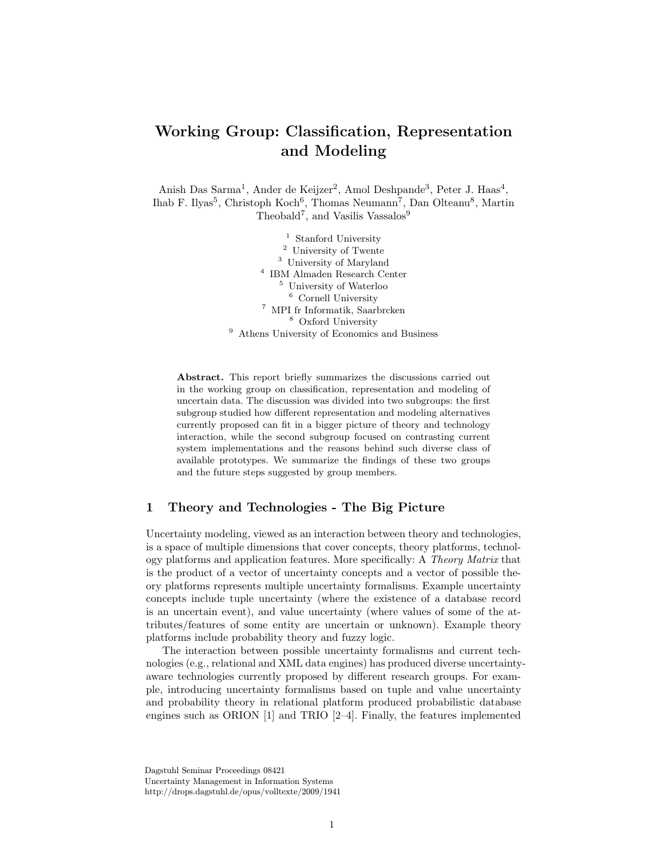# Working Group: Classification, Representation and Modeling

Anish Das Sarma<sup>1</sup>, Ander de Keijzer<sup>2</sup>, Amol Deshpande<sup>3</sup>, Peter J. Haas<sup>4</sup>, Ihab F. Ilyas<sup>5</sup>, Christoph Koch<sup>6</sup>, Thomas Neumann<sup>7</sup>, Dan Olteanu<sup>8</sup>, Martin Theobald<sup>7</sup>, and Vasilis Vassalos<sup>9</sup>

> Stanford University University of Twente University of Maryland IBM Almaden Research Center University of Waterloo Cornell University MPI fr Informatik, Saarbrcken Oxford University Athens University of Economics and Business

Abstract. This report briefly summarizes the discussions carried out in the working group on classification, representation and modeling of uncertain data. The discussion was divided into two subgroups: the first subgroup studied how different representation and modeling alternatives currently proposed can fit in a bigger picture of theory and technology interaction, while the second subgroup focused on contrasting current system implementations and the reasons behind such diverse class of available prototypes. We summarize the findings of these two groups and the future steps suggested by group members.

## 1 Theory and Technologies - The Big Picture

Uncertainty modeling, viewed as an interaction between theory and technologies, is a space of multiple dimensions that cover concepts, theory platforms, technology platforms and application features. More specifically: A Theory Matrix that is the product of a vector of uncertainty concepts and a vector of possible theory platforms represents multiple uncertainty formalisms. Example uncertainty concepts include tuple uncertainty (where the existence of a database record is an uncertain event), and value uncertainty (where values of some of the attributes/features of some entity are uncertain or unknown). Example theory platforms include probability theory and fuzzy logic.

The interaction between possible uncertainty formalisms and current technologies (e.g., relational and XML data engines) has produced diverse uncertaintyaware technologies currently proposed by different research groups. For example, introducing uncertainty formalisms based on tuple and value uncertainty and probability theory in relational platform produced probabilistic database engines such as ORION [1] and TRIO [2–4]. Finally, the features implemented

Dagstuhl Seminar Proceedings 08421 Uncertainty Management in Information Systems http://drops.dagstuhl.de/opus/volltexte/2009/1941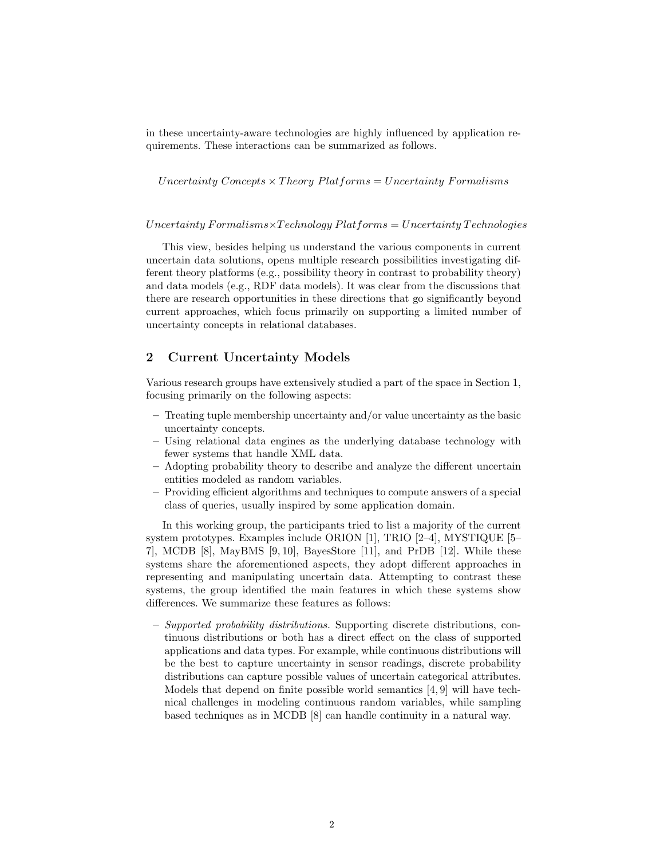in these uncertainty-aware technologies are highly influenced by application requirements. These interactions can be summarized as follows.

Uncertainty Concepts  $\times$  Theory Platforms = Uncertainty Formalisms

#### $Uncertainty$  Formalisms $\times Technology$  Platforms = Uncertainty Technologies

This view, besides helping us understand the various components in current uncertain data solutions, opens multiple research possibilities investigating different theory platforms (e.g., possibility theory in contrast to probability theory) and data models (e.g., RDF data models). It was clear from the discussions that there are research opportunities in these directions that go significantly beyond current approaches, which focus primarily on supporting a limited number of uncertainty concepts in relational databases.

## 2 Current Uncertainty Models

Various research groups have extensively studied a part of the space in Section 1, focusing primarily on the following aspects:

- Treating tuple membership uncertainty and/or value uncertainty as the basic uncertainty concepts.
- Using relational data engines as the underlying database technology with fewer systems that handle XML data.
- Adopting probability theory to describe and analyze the different uncertain entities modeled as random variables.
- Providing efficient algorithms and techniques to compute answers of a special class of queries, usually inspired by some application domain.

In this working group, the participants tried to list a majority of the current system prototypes. Examples include ORION [1], TRIO [2–4], MYSTIQUE [5– 7], MCDB [8], MayBMS [9, 10], BayesStore [11], and PrDB [12]. While these systems share the aforementioned aspects, they adopt different approaches in representing and manipulating uncertain data. Attempting to contrast these systems, the group identified the main features in which these systems show differences. We summarize these features as follows:

– Supported probability distributions. Supporting discrete distributions, continuous distributions or both has a direct effect on the class of supported applications and data types. For example, while continuous distributions will be the best to capture uncertainty in sensor readings, discrete probability distributions can capture possible values of uncertain categorical attributes. Models that depend on finite possible world semantics [4, 9] will have technical challenges in modeling continuous random variables, while sampling based techniques as in MCDB [8] can handle continuity in a natural way.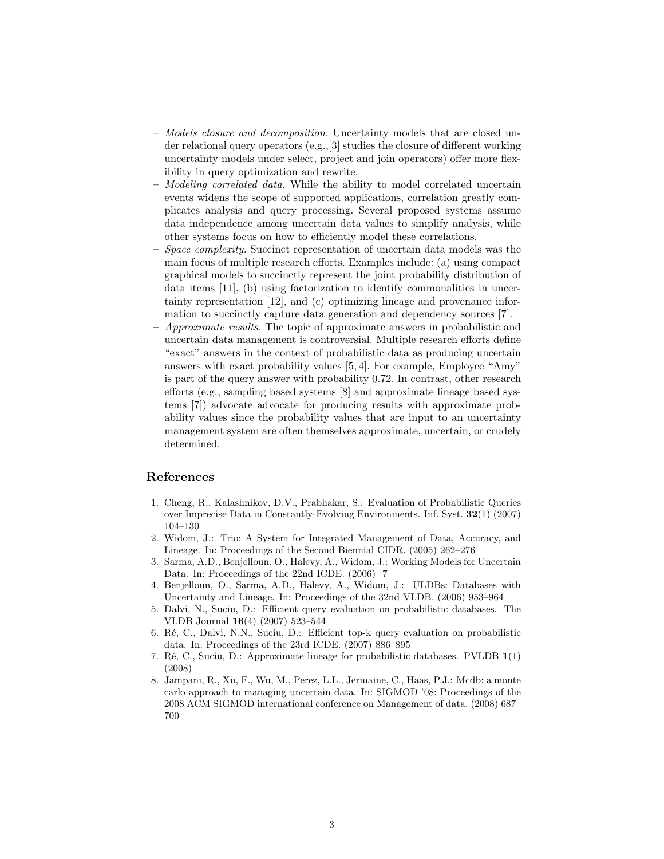- Models closure and decomposition. Uncertainty models that are closed under relational query operators (e.g.,[3] studies the closure of different working uncertainty models under select, project and join operators) offer more flexibility in query optimization and rewrite.
- Modeling correlated data. While the ability to model correlated uncertain events widens the scope of supported applications, correlation greatly complicates analysis and query processing. Several proposed systems assume data independence among uncertain data values to simplify analysis, while other systems focus on how to efficiently model these correlations.
- Space complexity. Succinct representation of uncertain data models was the main focus of multiple research efforts. Examples include: (a) using compact graphical models to succinctly represent the joint probability distribution of data items [11], (b) using factorization to identify commonalities in uncertainty representation [12], and (c) optimizing lineage and provenance information to succinctly capture data generation and dependency sources [7].
- Approximate results. The topic of approximate answers in probabilistic and uncertain data management is controversial. Multiple research efforts define "exact" answers in the context of probabilistic data as producing uncertain answers with exact probability values [5, 4]. For example, Employee "Amy" is part of the query answer with probability 0.72. In contrast, other research efforts (e.g., sampling based systems [8] and approximate lineage based systems [7]) advocate advocate for producing results with approximate probability values since the probability values that are input to an uncertainty management system are often themselves approximate, uncertain, or crudely determined.

### References

- 1. Cheng, R., Kalashnikov, D.V., Prabhakar, S.: Evaluation of Probabilistic Queries over Imprecise Data in Constantly-Evolving Environments. Inf. Syst. 32(1) (2007) 104–130
- 2. Widom, J.: Trio: A System for Integrated Management of Data, Accuracy, and Lineage. In: Proceedings of the Second Biennial CIDR. (2005) 262–276
- 3. Sarma, A.D., Benjelloun, O., Halevy, A., Widom, J.: Working Models for Uncertain Data. In: Proceedings of the 22nd ICDE. (2006) 7
- 4. Benjelloun, O., Sarma, A.D., Halevy, A., Widom, J.: ULDBs: Databases with Uncertainty and Lineage. In: Proceedings of the 32nd VLDB. (2006) 953–964
- 5. Dalvi, N., Suciu, D.: Efficient query evaluation on probabilistic databases. The VLDB Journal 16(4) (2007) 523–544
- 6. R´e, C., Dalvi, N.N., Suciu, D.: Efficient top-k query evaluation on probabilistic data. In: Proceedings of the 23rd ICDE. (2007) 886–895
- 7. Ré, C., Suciu, D.: Approximate lineage for probabilistic databases. PVLDB 1(1) (2008)
- 8. Jampani, R., Xu, F., Wu, M., Perez, L.L., Jermaine, C., Haas, P.J.: Mcdb: a monte carlo approach to managing uncertain data. In: SIGMOD '08: Proceedings of the 2008 ACM SIGMOD international conference on Management of data. (2008) 687– 700